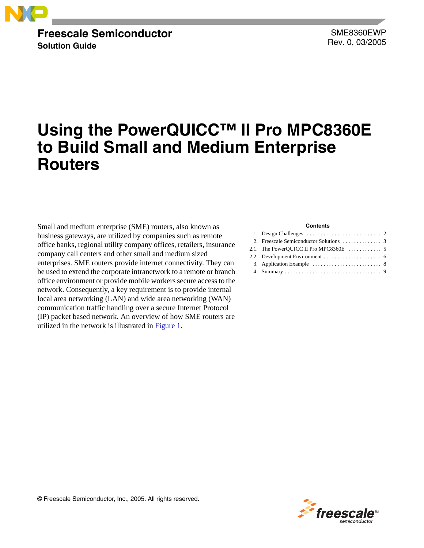

### **Freescale Semiconductor Solution Guide**

SME8360EWP Rev. 0, 03/2005

# **Using the PowerQUICC™ II Pro MPC8360E to Build Small and Medium Enterprise Routers**

Small and medium enterprise (SME) routers, also known as business gateways, are utilized by companies such as remote office banks, regional utility company offices, retailers, insurance company call centers and other small and medium sized enterprises. SME routers provide internet connectivity. They can be used to extend the corporate intranetwork to a remote or branch office environment or provide mobile workers secure access to the network. Consequently, a key requirement is to provide internal local area networking (LAN) and wide area networking (WAN) communication traffic handling over a secure Internet Protocol (IP) packet based network. An overview of how SME routers are utilized in the network is illustrated in [Figure 1.](#page-1-0)

### **Contents**

| 2.2. Development Environment $\dots\dots\dots\dots\dots\dots\dots$ 6 |  |
|----------------------------------------------------------------------|--|
|                                                                      |  |
|                                                                      |  |



© Freescale Semiconductor, Inc., 2005. All rights reserved.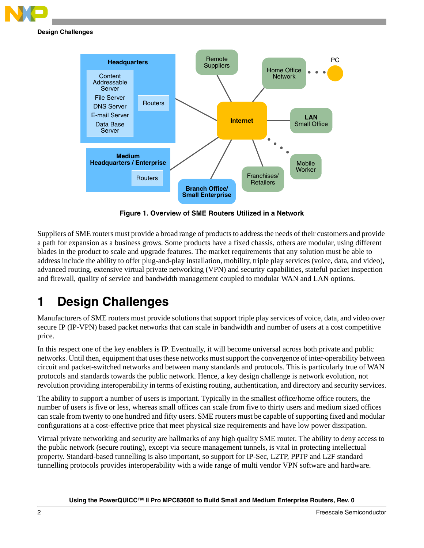

**Design Challenges**



**Figure 1. Overview of SME Routers Utilized in a Network**

<span id="page-1-0"></span>Suppliers of SME routers must provide a broad range of products to address the needs of their customers and provide a path for expansion as a business grows. Some products have a fixed chassis, others are modular, using different blades in the product to scale and upgrade features. The market requirements that any solution must be able to address include the ability to offer plug-and-play installation, mobility, triple play services (voice, data, and video), advanced routing, extensive virtual private networking (VPN) and security capabilities, stateful packet inspection and firewall, quality of service and bandwidth management coupled to modular WAN and LAN options.

# <span id="page-1-1"></span>**1 Design Challenges**

Manufacturers of SME routers must provide solutions that support triple play services of voice, data, and video over secure IP (IP-VPN) based packet networks that can scale in bandwidth and number of users at a cost competitive price.

In this respect one of the key enablers is IP. Eventually, it will become universal across both private and public networks. Until then, equipment that uses these networks must support the convergence of inter-operability between circuit and packet-switched networks and between many standards and protocols. This is particularly true of WAN protocols and standards towards the public network. Hence, a key design challenge is network evolution, not revolution providing interoperability in terms of existing routing, authentication, and directory and security services.

The ability to support a number of users is important. Typically in the smallest office/home office routers, the number of users is five or less, whereas small offices can scale from five to thirty users and medium sized offices can scale from twenty to one hundred and fifty users. SME routers must be capable of supporting fixed and modular configurations at a cost-effective price that meet physical size requirements and have low power dissipation.

Virtual private networking and security are hallmarks of any high quality SME router. The ability to deny access to the public network (secure routing), except via secure management tunnels, is vital in protecting intellectual property. Standard-based tunnelling is also important, so support for IP-Sec, L2TP, PPTP and L2F standard tunnelling protocols provides interoperability with a wide range of multi vendor VPN software and hardware.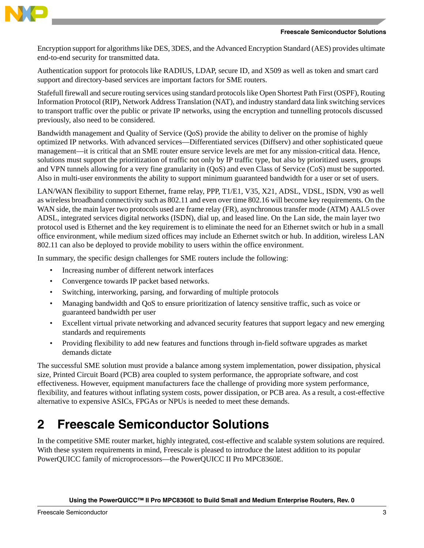

Encryption support for algorithms like DES, 3DES, and the Advanced Encryption Standard (AES) provides ultimate end-to-end security for transmitted data.

Authentication support for protocols like RADIUS, LDAP, secure ID, and X509 as well as token and smart card support and directory-based services are important factors for SME routers.

Stafefull firewall and secure routing services using standard protocols like Open Shortest Path First (OSPF), Routing Information Protocol (RIP), Network Address Translation (NAT), and industry standard data link switching services to transport traffic over the public or private IP networks, using the encryption and tunnelling protocols discussed previously, also need to be considered.

Bandwidth management and Quality of Service (QoS) provide the ability to deliver on the promise of highly optimized IP networks. With advanced services—Differentiated services (Diffserv) and other sophisticated queue management—it is critical that an SME router ensure service levels are met for any mission-critical data. Hence, solutions must support the prioritization of traffic not only by IP traffic type, but also by prioritized users, groups and VPN tunnels allowing for a very fine granularity in (QoS) and even Class of Service (CoS) must be supported. Also in multi-user environments the ability to support minimum guaranteed bandwidth for a user or set of users.

LAN/WAN flexibility to support Ethernet, frame relay, PPP, T1/E1, V35, X21, ADSL, VDSL, ISDN, V90 as well as wireless broadband connectivity such as 802.11 and even over time 802.16 will become key requirements. On the WAN side, the main layer two protocols used are frame relay (FR), asynchronous transfer mode (ATM) AAL5 over ADSL, integrated services digital networks (ISDN), dial up, and leased line. On the Lan side, the main layer two protocol used is Ethernet and the key requirement is to eliminate the need for an Ethernet switch or hub in a small office environment, while medium sized offices may include an Ethernet switch or hub. In addition, wireless LAN 802.11 can also be deployed to provide mobility to users within the office environment.

In summary, the specific design challenges for SME routers include the following:

- Increasing number of different network interfaces
- Convergence towards IP packet based networks.
- Switching, interworking, parsing, and forwarding of multiple protocols
- Managing bandwidth and QoS to ensure prioritization of latency sensitive traffic, such as voice or guaranteed bandwidth per user
- Excellent virtual private networking and advanced security features that support legacy and new emerging standards and requirements
- Providing flexibility to add new features and functions through in-field software upgrades as market demands dictate

The successful SME solution must provide a balance among system implementation, power dissipation, physical size, Printed Circuit Board (PCB) area coupled to system performance, the appropriate software, and cost effectiveness. However, equipment manufacturers face the challenge of providing more system performance, flexibility, and features without inflating system costs, power dissipation, or PCB area. As a result, a cost-effective alternative to expensive ASICs, FPGAs or NPUs is needed to meet these demands.

# <span id="page-2-0"></span>**2 Freescale Semiconductor Solutions**

In the competitive SME router market, highly integrated, cost-effective and scalable system solutions are required. With these system requirements in mind, Freescale is pleased to introduce the latest addition to its popular PowerQUICC family of microprocessors—the PowerQUICC II Pro MPC8360E.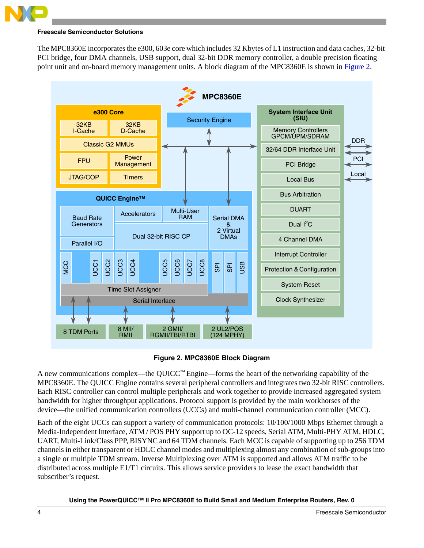

### **Freescale Semiconductor Solutions**

The MPC8360E incorporates the e300, 603e core which includes 32 Kbytes of L1 instruction and data caches, 32-bit PCI bridge, four DMA channels, USB support, dual 32-bit DDR memory controller, a double precision floating point unit and on-board memory management units. A block diagram of the MPC8360E is shown in [Figure 2](#page-3-0).



**Figure 2. MPC8360E Block Diagram**

<span id="page-3-0"></span>A new communications complex—the QUICC™ Engine—forms the heart of the networking capability of the MPC8360E. The QUICC Engine contains several peripheral controllers and integrates two 32-bit RISC controllers. Each RISC controller can control multiple peripherals and work together to provide increased aggregated system bandwidth for higher throughput applications. Protocol support is provided by the main workhorses of the device—the unified communication controllers (UCCs) and multi-channel communication controller (MCC).

Each of the eight UCCs can support a variety of communication protocols: 10/100/1000 Mbps Ethernet through a Media-Independent Interface, ATM / POS PHY support up to OC-12 speeds, Serial ATM, Multi-PHY ATM, HDLC, UART, Multi-Link/Class PPP, BISYNC and 64 TDM channels. Each MCC is capable of supporting up to 256 TDM channels in either transparent or HDLC channel modes and multiplexing almost any combination of sub-groups into a single or multiple TDM stream. Inverse Multiplexing over ATM is supported and allows ATM traffic to be distributed across multiple E1/T1 circuits. This allows service providers to lease the exact bandwidth that subscriber's request.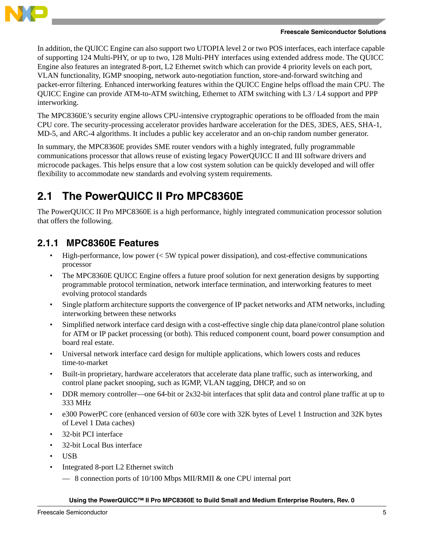

In addition, the QUICC Engine can also support two UTOPIA level 2 or two POS interfaces, each interface capable of supporting 124 Multi-PHY, or up to two, 128 Multi-PHY interfaces using extended address mode. The QUICC Engine also features an integrated 8-port, L2 Ethernet switch which can provide 4 priority levels on each port, VLAN functionality, IGMP snooping, network auto-negotiation function, store-and-forward switching and packet-error filtering. Enhanced interworking features within the QUICC Engine helps offload the main CPU. The QUICC Engine can provide ATM-to-ATM switching, Ethernet to ATM switching with L3 / L4 support and PPP interworking.

The MPC8360E's security engine allows CPU-intensive cryptographic operations to be offloaded from the main CPU core. The security-processing accelerator provides hardware acceleration for the DES, 3DES, AES, SHA-1, MD-5, and ARC-4 algorithms. It includes a public key accelerator and an on-chip random number generator.

In summary, the MPC8360E provides SME router vendors with a highly integrated, fully programmable communications processor that allows reuse of existing legacy PowerQUICC II and III software drivers and microcode packages. This helps ensure that a low cost system solution can be quickly developed and will offer flexibility to accommodate new standards and evolving system requirements.

# <span id="page-4-0"></span>**2.1 The PowerQUICC II Pro MPC8360E**

The PowerQUICC II Pro MPC8360E is a high performance, highly integrated communication processor solution that offers the following.

### **2.1.1 MPC8360E Features**

- High-performance, low power  $\leq 5W$  typical power dissipation), and cost-effective communications processor
- The MPC8360E QUICC Engine offers a future proof solution for next generation designs by supporting programmable protocol termination, network interface termination, and interworking features to meet evolving protocol standards
- Single platform architecture supports the convergence of IP packet networks and ATM networks, including interworking between these networks
- Simplified network interface card design with a cost-effective single chip data plane/control plane solution for ATM or IP packet processing (or both). This reduced component count, board power consumption and board real estate.
- Universal network interface card design for multiple applications, which lowers costs and reduces time-to-market
- Built-in proprietary, hardware accelerators that accelerate data plane traffic, such as interworking, and control plane packet snooping, such as IGMP, VLAN tagging, DHCP, and so on
- DDR memory controller—one 64-bit or 2x32-bit interfaces that split data and control plane traffic at up to 333 MHz
- e300 PowerPC core (enhanced version of 603e core with 32K bytes of Level 1 Instruction and 32K bytes of Level 1 Data caches)
- 32-bit PCI interface
- 32-bit Local Bus interface
- USB
- Integrated 8-port L2 Ethernet switch
	- 8 connection ports of 10/100 Mbps MII/RMII & one CPU internal port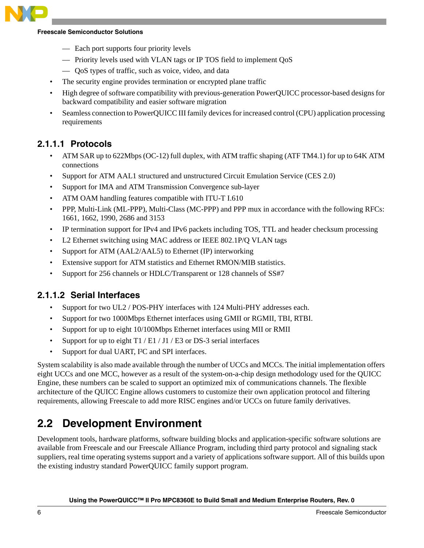### **Freescale Semiconductor Solutions**

- Each port supports four priority levels
- Priority levels used with VLAN tags or IP TOS field to implement QoS
- QoS types of traffic, such as voice, video, and data
- The security engine provides termination or encrypted plane traffic
- High degree of software compatibility with previous-generation PowerQUICC processor-based designs for backward compatibility and easier software migration
- Seamless connection to PowerQUICC III family devices for increased control (CPU) application processing requirements

### **2.1.1.1 Protocols**

- ATM SAR up to 622Mbps (OC-12) full duplex, with ATM traffic shaping (ATF TM4.1) for up to 64K ATM connections
- Support for ATM AAL1 structured and unstructured Circuit Emulation Service (CES 2.0)
- Support for IMA and ATM Transmission Convergence sub-layer
- ATM OAM handling features compatible with ITU-T I.610
- PPP, Multi-Link (ML-PPP), Multi-Class (MC-PPP) and PPP mux in accordance with the following RFCs: 1661, 1662, 1990, 2686 and 3153
- IP termination support for IPv4 and IPv6 packets including TOS, TTL and header checksum processing
- L2 Ethernet switching using MAC address or IEEE 802.1P/Q VLAN tags
- Support for ATM (AAL2/AAL5) to Ethernet (IP) interworking
- Extensive support for ATM statistics and Ethernet RMON/MIB statistics.
- Support for 256 channels or HDLC/Transparent or 128 channels of SS#7

### **2.1.1.2 Serial Interfaces**

- Support for two UL2 / POS-PHY interfaces with 124 Multi-PHY addresses each.
- Support for two 1000Mbps Ethernet interfaces using GMII or RGMII, TBI, RTBI.
- Support for up to eight 10/100Mbps Ethernet interfaces using MII or RMII
- Support for up to eight  $T1 / E1 / J1 / E3$  or DS-3 serial interfaces
- Support for dual UART, I<sup>2</sup>C and SPI interfaces.

System scalability is also made available through the number of UCCs and MCCs. The initial implementation offers eight UCCs and one MCC, however as a result of the system-on-a-chip design methodology used for the QUICC Engine, these numbers can be scaled to support an optimized mix of communications channels. The flexible architecture of the QUICC Engine allows customers to customize their own application protocol and filtering requirements, allowing Freescale to add more RISC engines and/or UCCs on future family derivatives.

### <span id="page-5-0"></span>**2.2 Development Environment**

Development tools, hardware platforms, software building blocks and application-specific software solutions are available from Freescale and our Freescale Alliance Program, including third party protocol and signaling stack suppliers, real time operating systems support and a variety of applications software support. All of this builds upon the existing industry standard PowerQUICC family support program.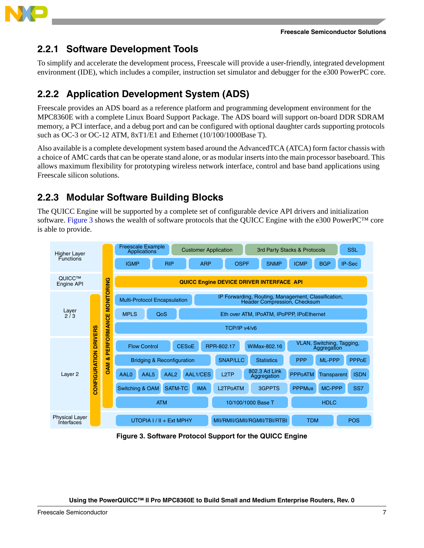

### **2.2.1 Software Development Tools**

To simplify and accelerate the development process, Freescale will provide a user-friendly, integrated development environment (IDE), which includes a compiler, instruction set simulator and debugger for the e300 PowerPC core.

### **2.2.2 Application Development System (ADS)**

Freescale provides an ADS board as a reference platform and programming development environment for the MPC8360E with a complete Linux Board Support Package. The ADS board will support on-board DDR SDRAM memory, a PCI interface, and a debug port and can be configured with optional daughter cards supporting protocols such as OC-3 or OC-12 ATM,  $8xT1/E1$  and Ethernet (10/100/1000Base T).

Also available is a complete development system based around the AdvancedTCA (ATCA) form factor chassis with a choice of AMC cards that can be operate stand alone, or as modular inserts into the main processor baseboard. This allows maximum flexibility for prototyping wireless network interface, control and base band applications using Freescale silicon solutions.

## **2.2.3 Modular Software Building Blocks**

The QUICC Engine will be supported by a complete set of configurable device API drivers and initialization software. [Figure 3](#page-6-0) shows the wealth of software protocols that the QUICC Engine with the e300 PowerPC™ core is able to provide.



<span id="page-6-0"></span>**Figure 3. Software Protocol Support for the QUICC Engine**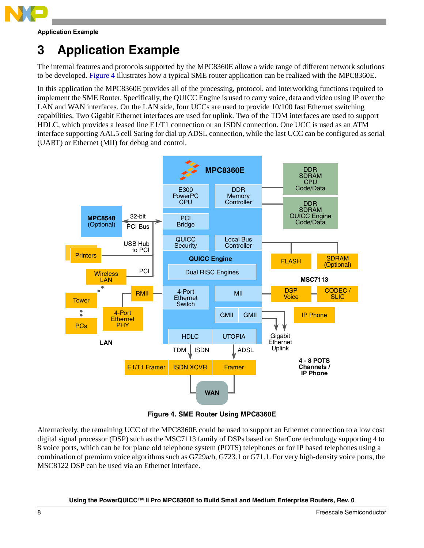

**Application Example**

# <span id="page-7-0"></span>**3 Application Example**

The internal features and protocols supported by the MPC8360E allow a wide range of different network solutions to be developed. [Figure 4](#page-7-1) illustrates how a typical SME router application can be realized with the MPC8360E.

In this application the MPC8360E provides all of the processing, protocol, and interworking functions required to implement the SME Router. Specifically, the QUICC Engine is used to carry voice, data and video using IP over the LAN and WAN interfaces. On the LAN side, four UCCs are used to provide 10/100 fast Ethernet switching capabilities. Two Gigabit Ethernet interfaces are used for uplink. Two of the TDM interfaces are used to support HDLC, which provides a leased line E1/T1 connection or an ISDN connection. One UCC is used as an ATM interface supporting AAL5 cell Saring for dial up ADSL connection, while the last UCC can be configured as serial (UART) or Ethernet (MII) for debug and control.



**Figure 4. SME Router Using MPC8360E**

<span id="page-7-1"></span>Alternatively, the remaining UCC of the MPC8360E could be used to support an Ethernet connection to a low cost digital signal processor (DSP) such as the MSC7113 family of DSPs based on StarCore technology supporting 4 to 8 voice ports, which can be for plane old telephone system (POTS) telephones or for IP based telephones using a combination of premium voice algorithms such as G729a/b, G723.1 or G71.1. For very high-density voice ports, the MSC8122 DSP can be used via an Ethernet interface.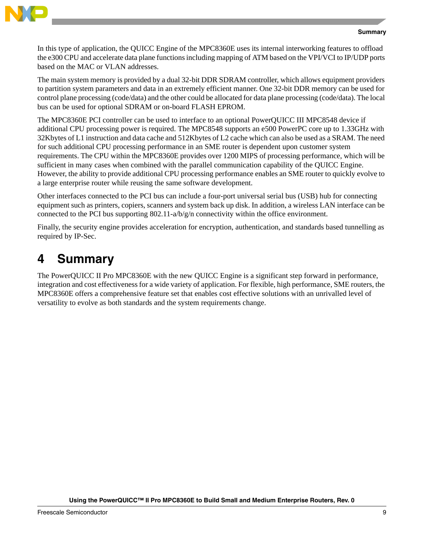

In this type of application, the QUICC Engine of the MPC8360E uses its internal interworking features to offload the e300 CPU and accelerate data plane functions including mapping of ATM based on the VPI/VCI to IP/UDP ports based on the MAC or VLAN addresses.

The main system memory is provided by a dual 32-bit DDR SDRAM controller, which allows equipment providers to partition system parameters and data in an extremely efficient manner. One 32-bit DDR memory can be used for control plane processing (code/data) and the other could be allocated for data plane processing (code/data). The local bus can be used for optional SDRAM or on-board FLASH EPROM.

The MPC8360E PCI controller can be used to interface to an optional PowerQUICC III MPC8548 device if additional CPU processing power is required. The MPC8548 supports an e500 PowerPC core up to 1.33GHz with 32Kbytes of L1 instruction and data cache and 512Kbytes of L2 cache which can also be used as a SRAM. The need for such additional CPU processing performance in an SME router is dependent upon customer system requirements. The CPU within the MPC8360E provides over 1200 MIPS of processing performance, which will be sufficient in many cases when combined with the parallel communication capability of the QUICC Engine. However, the ability to provide additional CPU processing performance enables an SME router to quickly evolve to a large enterprise router while reusing the same software development.

Other interfaces connected to the PCI bus can include a four-port universal serial bus (USB) hub for connecting equipment such as printers, copiers, scanners and system back up disk. In addition, a wireless LAN interface can be connected to the PCI bus supporting  $802.11-a/b/g/n$  connectivity within the office environment.

Finally, the security engine provides acceleration for encryption, authentication, and standards based tunnelling as required by IP-Sec.

# <span id="page-8-0"></span>**4 Summary**

The PowerQUICC II Pro MPC8360E with the new QUICC Engine is a significant step forward in performance, integration and cost effectiveness for a wide variety of application. For flexible, high performance, SME routers, the MPC8360E offers a comprehensive feature set that enables cost effective solutions with an unrivalled level of versatility to evolve as both standards and the system requirements change.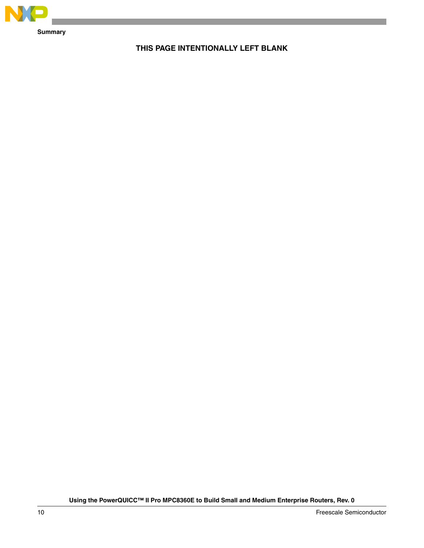

**Summary**

### **THIS PAGE INTENTIONALLY LEFT BLANK**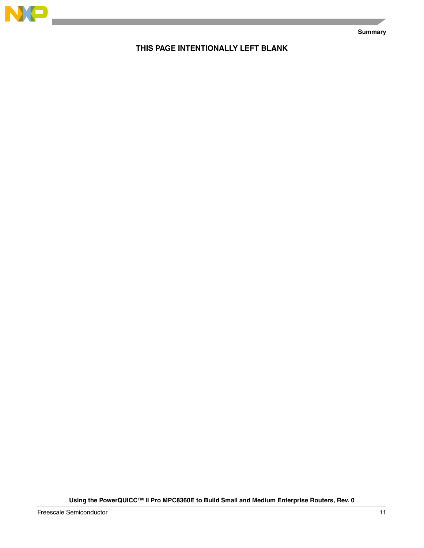

### **Summary**

### **THIS PAGE INTENTIONALLY LEFT BLANK**